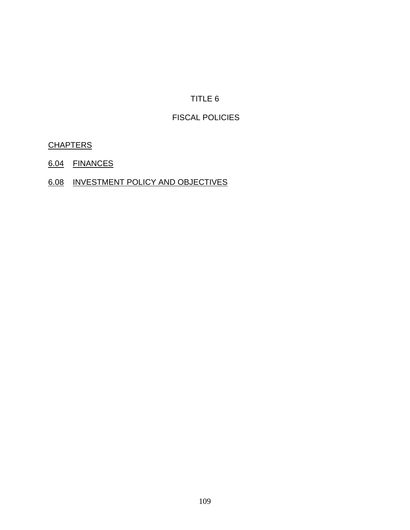# TITLE 6

## FISCAL POLICIES

# **CHAPTERS**

- 6.04 FINANCES
- 6.08 INVESTMENT POLICY AND OBJECTIVES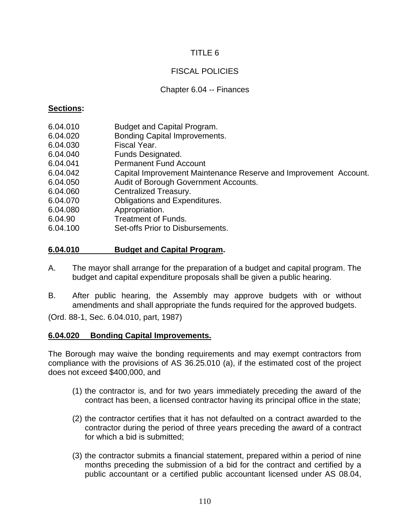## TITLE 6

## FISCAL POLICIES

#### Chapter 6.04 -- Finances

#### **Sections:**

- 6.04.010 Budget and Capital Program.
- 6.04.020 Bonding Capital Improvements.
- 6.04.030 Fiscal Year.
- 6.04.040 Funds Designated.
- 6.04.041 Permanent Fund Account
- 6.04.042 Capital Improvement Maintenance Reserve and Improvement Account.
- 6.04.050 Audit of Borough Government Accounts.
- 6.04.060 Centralized Treasury.
- 6.04.070 Obligations and Expenditures.
- 6.04.080 Appropriation.
- 6.04.90 Treatment of Funds.
- 6.04.100 Set-offs Prior to Disbursements.

#### **6.04.010 Budget and Capital Program.**

- A. The mayor shall arrange for the preparation of a budget and capital program. The budget and capital expenditure proposals shall be given a public hearing.
- B. After public hearing, the Assembly may approve budgets with or without amendments and shall appropriate the funds required for the approved budgets.

(Ord. 88-1, Sec. 6.04.010, part, 1987)

#### **6.04.020 Bonding Capital Improvements.**

The Borough may waive the bonding requirements and may exempt contractors from compliance with the provisions of AS 36.25.010 (a), if the estimated cost of the project does not exceed \$400,000, and

- (1) the contractor is, and for two years immediately preceding the award of the contract has been, a licensed contractor having its principal office in the state;
- (2) the contractor certifies that it has not defaulted on a contract awarded to the contractor during the period of three years preceding the award of a contract for which a bid is submitted;
- (3) the contractor submits a financial statement, prepared within a period of nine months preceding the submission of a bid for the contract and certified by a public accountant or a certified public accountant licensed under AS 08.04,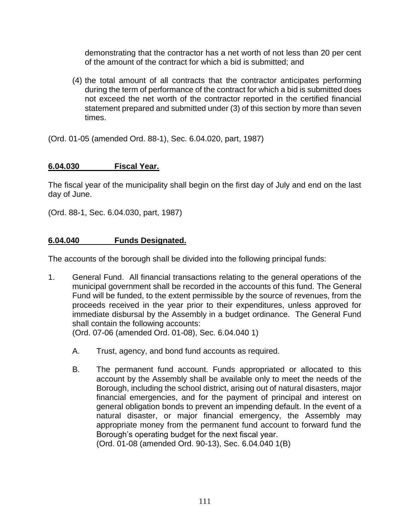demonstrating that the contractor has a net worth of not less than 20 per cent of the amount of the contract for which a bid is submitted; and

(4) the total amount of all contracts that the contractor anticipates performing during the term of performance of the contract for which a bid is submitted does not exceed the net worth of the contractor reported in the certified financial statement prepared and submitted under (3) of this section by more than seven times.

(Ord. 01-05 (amended Ord. 88-1), Sec. 6.04.020, part, 1987)

# **6.04.030 Fiscal Year.**

The fiscal year of the municipality shall begin on the first day of July and end on the last day of June.

(Ord. 88-1, Sec. 6.04.030, part, 1987)

# **6.04.040 Funds Designated.**

The accounts of the borough shall be divided into the following principal funds:

1. General Fund. All financial transactions relating to the general operations of the municipal government shall be recorded in the accounts of this fund. The General Fund will be funded, to the extent permissible by the source of revenues, from the proceeds received in the year prior to their expenditures, unless approved for immediate disbursal by the Assembly in a budget ordinance. The General Fund shall contain the following accounts:

(Ord. 07-06 (amended Ord. 01-08), Sec. 6.04.040 1)

- A. Trust, agency, and bond fund accounts as required.
- B. The permanent fund account. Funds appropriated or allocated to this account by the Assembly shall be available only to meet the needs of the Borough, including the school district, arising out of natural disasters, major financial emergencies, and for the payment of principal and interest on general obligation bonds to prevent an impending default. In the event of a natural disaster, or major financial emergency, the Assembly may appropriate money from the permanent fund account to forward fund the Borough's operating budget for the next fiscal year. (Ord. 01-08 (amended Ord. 90-13), Sec. 6.04.040 1(B)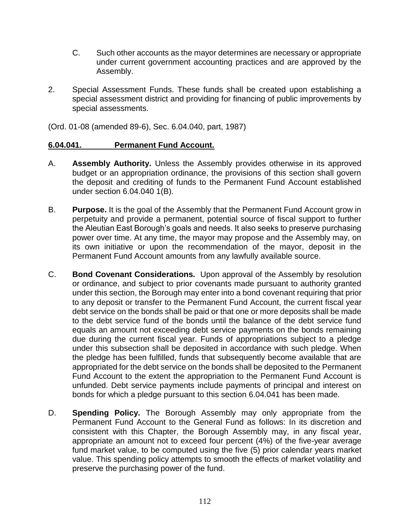- C. Such other accounts as the mayor determines are necessary or appropriate under current government accounting practices and are approved by the Assembly.
- 2. Special Assessment Funds. These funds shall be created upon establishing a special assessment district and providing for financing of public improvements by special assessments.

(Ord. 01-08 (amended 89-6), Sec. 6.04.040, part, 1987)

# **6.04.041. Permanent Fund Account.**

- A. **Assembly Authority.** Unless the Assembly provides otherwise in its approved budget or an appropriation ordinance, the provisions of this section shall govern the deposit and crediting of funds to the Permanent Fund Account established under section 6.04.040 1(B).
- B. **Purpose.** It is the goal of the Assembly that the Permanent Fund Account grow in perpetuity and provide a permanent, potential source of fiscal support to further the Aleutian East Borough's goals and needs. It also seeks to preserve purchasing power over time. At any time, the mayor may propose and the Assembly may, on its own initiative or upon the recommendation of the mayor, deposit in the Permanent Fund Account amounts from any lawfully available source.
- C. **Bond Covenant Considerations.** Upon approval of the Assembly by resolution or ordinance, and subject to prior covenants made pursuant to authority granted under this section, the Borough may enter into a bond covenant requiring that prior to any deposit or transfer to the Permanent Fund Account, the current fiscal year debt service on the bonds shall be paid or that one or more deposits shall be made to the debt service fund of the bonds until the balance of the debt service fund equals an amount not exceeding debt service payments on the bonds remaining due during the current fiscal year. Funds of appropriations subject to a pledge under this subsection shall be deposited in accordance with such pledge. When the pledge has been fulfilled, funds that subsequently become available that are appropriated for the debt service on the bonds shall be deposited to the Permanent Fund Account to the extent the appropriation to the Permanent Fund Account is unfunded. Debt service payments include payments of principal and interest on bonds for which a pledge pursuant to this section 6.04.041 has been made.
- D. **Spending Policy.** The Borough Assembly may only appropriate from the Permanent Fund Account to the General Fund as follows: In its discretion and consistent with this Chapter, the Borough Assembly may, in any fiscal year, appropriate an amount not to exceed four percent (4%) of the five-year average fund market value, to be computed using the five (5) prior calendar years market value. This spending policy attempts to smooth the effects of market volatility and preserve the purchasing power of the fund.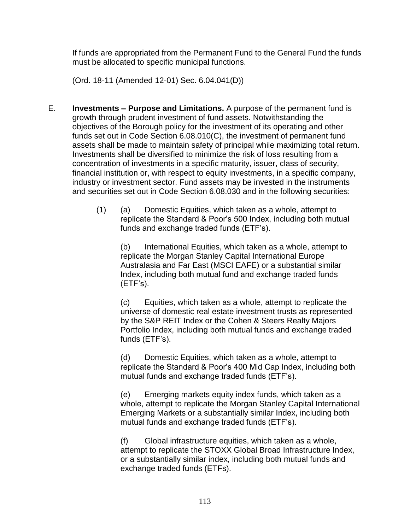If funds are appropriated from the Permanent Fund to the General Fund the funds must be allocated to specific municipal functions.

(Ord. 18-11 (Amended 12-01) Sec. 6.04.041(D))

- E. **Investments – Purpose and Limitations.** A purpose of the permanent fund is growth through prudent investment of fund assets. Notwithstanding the objectives of the Borough policy for the investment of its operating and other funds set out in Code Section 6.08.010(C), the investment of permanent fund assets shall be made to maintain safety of principal while maximizing total return. Investments shall be diversified to minimize the risk of loss resulting from a concentration of investments in a specific maturity, issuer, class of security, financial institution or, with respect to equity investments, in a specific company, industry or investment sector. Fund assets may be invested in the instruments and securities set out in Code Section 6.08.030 and in the following securities:
	- (1) (a) Domestic Equities, which taken as a whole, attempt to replicate the Standard & Poor's 500 Index, including both mutual funds and exchange traded funds (ETF's).

(b) International Equities, which taken as a whole, attempt to replicate the Morgan Stanley Capital International Europe Australasia and Far East (MSCI EAFE) or a substantial similar Index, including both mutual fund and exchange traded funds (ETF's).

(c) Equities, which taken as a whole, attempt to replicate the universe of domestic real estate investment trusts as represented by the S&P REIT Index or the Cohen & Steers Realty Majors Portfolio Index, including both mutual funds and exchange traded funds (ETF's).

(d) Domestic Equities, which taken as a whole, attempt to replicate the Standard & Poor's 400 Mid Cap Index, including both mutual funds and exchange traded funds (ETF's).

(e) Emerging markets equity index funds, which taken as a whole, attempt to replicate the Morgan Stanley Capital International Emerging Markets or a substantially similar Index, including both mutual funds and exchange traded funds (ETF's).

(f) Global infrastructure equities, which taken as a whole, attempt to replicate the STOXX Global Broad Infrastructure Index, or a substantially similar index, including both mutual funds and exchange traded funds (ETFs).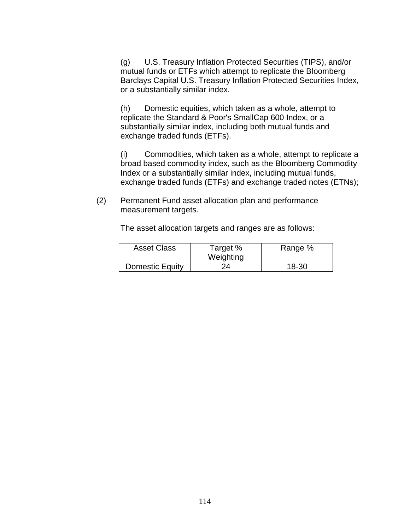(g) U.S. Treasury Inflation Protected Securities (TIPS), and/or mutual funds or ETFs which attempt to replicate the Bloomberg Barclays Capital U.S. Treasury Inflation Protected Securities Index, or a substantially similar index.

(h) Domestic equities, which taken as a whole, attempt to replicate the Standard & Poor's SmallCap 600 Index, or a substantially similar index, including both mutual funds and exchange traded funds (ETFs).

(i) Commodities, which taken as a whole, attempt to replicate a broad based commodity index, such as the Bloomberg Commodity Index or a substantially similar index, including mutual funds, exchange traded funds (ETFs) and exchange traded notes (ETNs);

(2) Permanent Fund asset allocation plan and performance measurement targets.

The asset allocation targets and ranges are as follows:

| <b>Asset Class</b> | Target %<br>Weighting | Range % |
|--------------------|-----------------------|---------|
| Domestic Equity    | 24                    | 18-30   |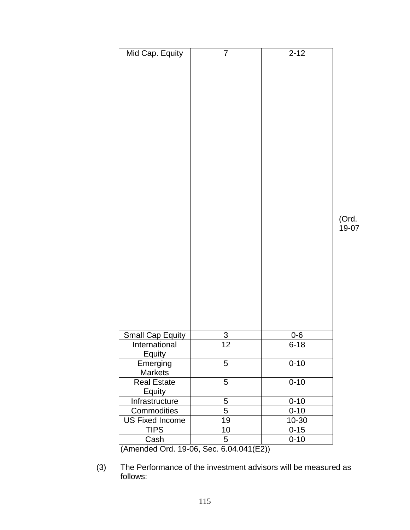| Mid Cap. Equity                          | $\overline{7}$ | $2 - 12$            | (Ord.<br>19-07 |
|------------------------------------------|----------------|---------------------|----------------|
|                                          |                |                     |                |
| <b>Small Cap Equity</b><br>International | 3<br>12        | $0 - 6$<br>$6 - 18$ |                |
| <b>Equity</b>                            |                |                     |                |
| Emerging<br>Markets                      | 5              | $0 - 10$            |                |
| Real Estate<br><b>Equity</b>             | 5              | $0 - 10$            |                |
| Infrastructure                           | 5              | $0 - 10$            |                |
| Commodities                              | $\overline{5}$ | $0 - 10$            |                |
| <b>US Fixed Income</b>                   | 19             | 10-30               |                |
| <b>TIPS</b>                              | 10             | $0 - 15$            |                |
| Cash                                     | 5              | $0 - 10$            |                |

(Amended Ord. 19-06, Sec. 6.04.041(E2))

<sup>(3)</sup> The Performance of the investment advisors will be measured as follows: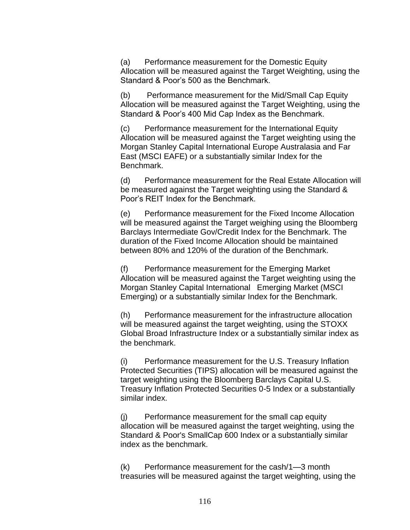(a) Performance measurement for the Domestic Equity Allocation will be measured against the Target Weighting, using the Standard & Poor's 500 as the Benchmark.

(b) Performance measurement for the Mid/Small Cap Equity Allocation will be measured against the Target Weighting, using the Standard & Poor's 400 Mid Cap Index as the Benchmark.

(c) Performance measurement for the International Equity Allocation will be measured against the Target weighting using the Morgan Stanley Capital International Europe Australasia and Far East (MSCI EAFE) or a substantially similar Index for the Benchmark.

(d) Performance measurement for the Real Estate Allocation will be measured against the Target weighting using the Standard & Poor's REIT Index for the Benchmark.

(e) Performance measurement for the Fixed Income Allocation will be measured against the Target weighing using the Bloomberg Barclays Intermediate Gov/Credit Index for the Benchmark. The duration of the Fixed Income Allocation should be maintained between 80% and 120% of the duration of the Benchmark.

(f) Performance measurement for the Emerging Market Allocation will be measured against the Target weighting using the Morgan Stanley Capital International Emerging Market (MSCI Emerging) or a substantially similar Index for the Benchmark.

(h) Performance measurement for the infrastructure allocation will be measured against the target weighting, using the STOXX Global Broad Infrastructure Index or a substantially similar index as the benchmark.

(i) Performance measurement for the U.S. Treasury Inflation Protected Securities (TIPS) allocation will be measured against the target weighting using the Bloomberg Barclays Capital U.S. Treasury Inflation Protected Securities 0-5 Index or a substantially similar index.

(j) Performance measurement for the small cap equity allocation will be measured against the target weighting, using the Standard & Poor's SmallCap 600 Index or a substantially similar index as the benchmark.

(k) Performance measurement for the cash/1—3 month treasuries will be measured against the target weighting, using the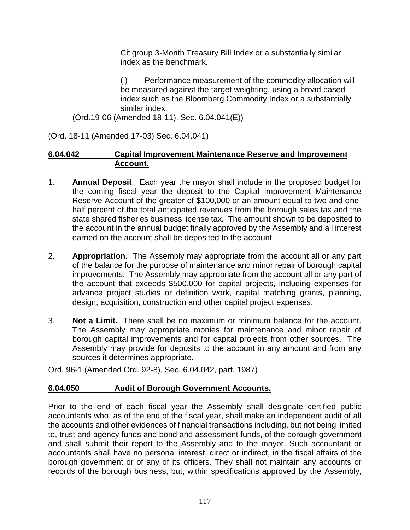Citigroup 3-Month Treasury Bill Index or a substantially similar index as the benchmark.

(l) Performance measurement of the commodity allocation will be measured against the target weighting, using a broad based index such as the Bloomberg Commodity Index or a substantially similar index.

(Ord.19-06 (Amended 18-11), Sec. 6.04.041(E))

(Ord. 18-11 (Amended 17-03) Sec. 6.04.041)

#### **6.04.042 Capital Improvement Maintenance Reserve and Improvement Account.**

- 1. **Annual Deposit**. Each year the mayor shall include in the proposed budget for the coming fiscal year the deposit to the Capital Improvement Maintenance Reserve Account of the greater of \$100,000 or an amount equal to two and onehalf percent of the total anticipated revenues from the borough sales tax and the state shared fisheries business license tax. The amount shown to be deposited to the account in the annual budget finally approved by the Assembly and all interest earned on the account shall be deposited to the account.
- 2. **Appropriation.** The Assembly may appropriate from the account all or any part of the balance for the purpose of maintenance and minor repair of borough capital improvements. The Assembly may appropriate from the account all or any part of the account that exceeds \$500,000 for capital projects, including expenses for advance project studies or definition work, capital matching grants, planning, design, acquisition, construction and other capital project expenses.
- 3. **Not a Limit.** There shall be no maximum or minimum balance for the account. The Assembly may appropriate monies for maintenance and minor repair of borough capital improvements and for capital projects from other sources. The Assembly may provide for deposits to the account in any amount and from any sources it determines appropriate.

Ord. 96-1 (Amended Ord. 92-8), Sec. 6.04.042, part, 1987)

# **6.04.050 Audit of Borough Government Accounts.**

Prior to the end of each fiscal year the Assembly shall designate certified public accountants who, as of the end of the fiscal year, shall make an independent audit of all the accounts and other evidences of financial transactions including, but not being limited to, trust and agency funds and bond and assessment funds, of the borough government and shall submit their report to the Assembly and to the mayor. Such accountant or accountants shall have no personal interest, direct or indirect, in the fiscal affairs of the borough government or of any of its officers. They shall not maintain any accounts or records of the borough business, but, within specifications approved by the Assembly,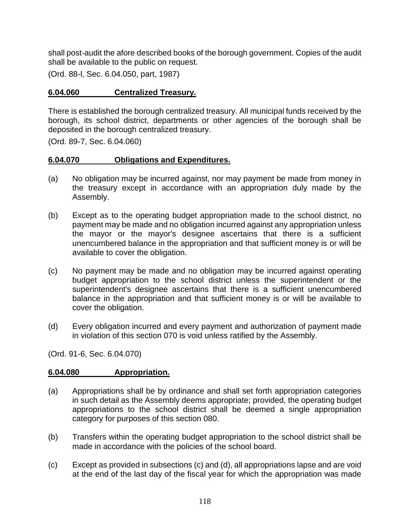shall post-audit the afore described books of the borough government. Copies of the audit shall be available to the public on request.

(Ord. 88-l, Sec. 6.04.050, part, 1987)

## **6.04.060 Centralized Treasury.**

There is established the borough centralized treasury. All municipal funds received by the borough, its school district, departments or other agencies of the borough shall be deposited in the borough centralized treasury.

(Ord. 89-7, Sec. 6.04.060)

## **6.04.070 Obligations and Expenditures.**

- (a) No obligation may be incurred against, nor may payment be made from money in the treasury except in accordance with an appropriation duly made by the Assembly.
- (b) Except as to the operating budget appropriation made to the school district, no payment may be made and no obligation incurred against any appropriation unless the mayor or the mayor's designee ascertains that there is a sufficient unencumbered balance in the appropriation and that sufficient money is or will be available to cover the obligation.
- (c) No payment may be made and no obligation may be incurred against operating budget appropriation to the school district unless the superintendent or the superintendent's designee ascertains that there is a sufficient unencumbered balance in the appropriation and that sufficient money is or will be available to cover the obligation.
- (d) Every obligation incurred and every payment and authorization of payment made in violation of this section 070 is void unless ratified by the Assembly.

(Ord. 91-6, Sec. 6.04.070)

# **6.04.080 Appropriation.**

- (a) Appropriations shall be by ordinance and shall set forth appropriation categories in such detail as the Assembly deems appropriate; provided, the operating budget appropriations to the school district shall be deemed a single appropriation category for purposes of this section 080.
- (b) Transfers within the operating budget appropriation to the school district shall be made in accordance with the policies of the school board.
- (c) Except as provided in subsections (c) and (d), all appropriations lapse and are void at the end of the last day of the fiscal year for which the appropriation was made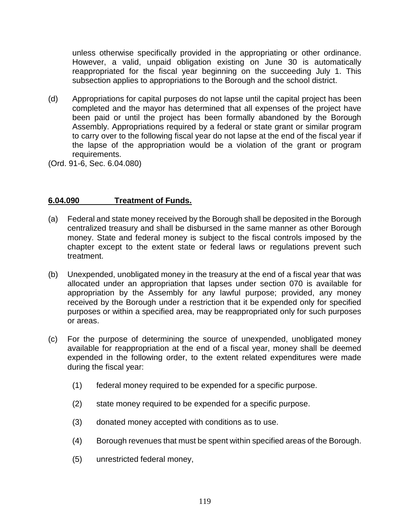unless otherwise specifically provided in the appropriating or other ordinance. However, a valid, unpaid obligation existing on June 30 is automatically reappropriated for the fiscal year beginning on the succeeding July 1. This subsection applies to appropriations to the Borough and the school district.

- (d) Appropriations for capital purposes do not lapse until the capital project has been completed and the mayor has determined that all expenses of the project have been paid or until the project has been formally abandoned by the Borough Assembly. Appropriations required by a federal or state grant or similar program to carry over to the following fiscal year do not lapse at the end of the fiscal year if the lapse of the appropriation would be a violation of the grant or program requirements.
- (Ord. 91-6, Sec. 6.04.080)

## **6.04.090 Treatment of Funds.**

- (a) Federal and state money received by the Borough shall be deposited in the Borough centralized treasury and shall be disbursed in the same manner as other Borough money. State and federal money is subject to the fiscal controls imposed by the chapter except to the extent state or federal laws or regulations prevent such treatment.
- (b) Unexpended, unobligated money in the treasury at the end of a fiscal year that was allocated under an appropriation that lapses under section 070 is available for appropriation by the Assembly for any lawful purpose; provided, any money received by the Borough under a restriction that it be expended only for specified purposes or within a specified area, may be reappropriated only for such purposes or areas.
- (c) For the purpose of determining the source of unexpended, unobligated money available for reappropriation at the end of a fiscal year, money shall be deemed expended in the following order, to the extent related expenditures were made during the fiscal year:
	- (1) federal money required to be expended for a specific purpose.
	- (2) state money required to be expended for a specific purpose.
	- (3) donated money accepted with conditions as to use.
	- (4) Borough revenues that must be spent within specified areas of the Borough.
	- (5) unrestricted federal money,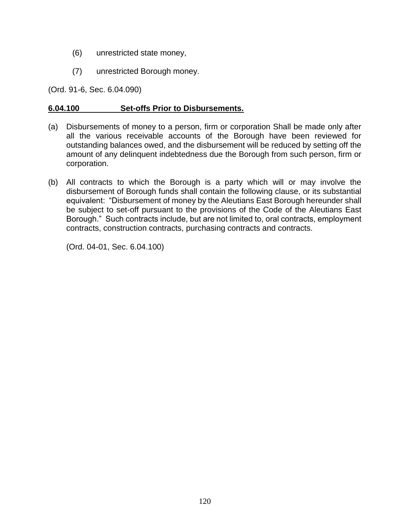- (6) unrestricted state money,
- (7) unrestricted Borough money.

(Ord. 91-6, Sec. 6.04.090)

## **6.04.100 Set-offs Prior to Disbursements.**

- (a) Disbursements of money to a person, firm or corporation Shall be made only after all the various receivable accounts of the Borough have been reviewed for outstanding balances owed, and the disbursement will be reduced by setting off the amount of any delinquent indebtedness due the Borough from such person, firm or corporation.
- (b) All contracts to which the Borough is a party which will or may involve the disbursement of Borough funds shall contain the following clause, or its substantial equivalent: "Disbursement of money by the Aleutians East Borough hereunder shall be subject to set-off pursuant to the provisions of the Code of the Aleutians East Borough." Such contracts include, but are not limited to, oral contracts, employment contracts, construction contracts, purchasing contracts and contracts.

(Ord. 04-01, Sec. 6.04.100)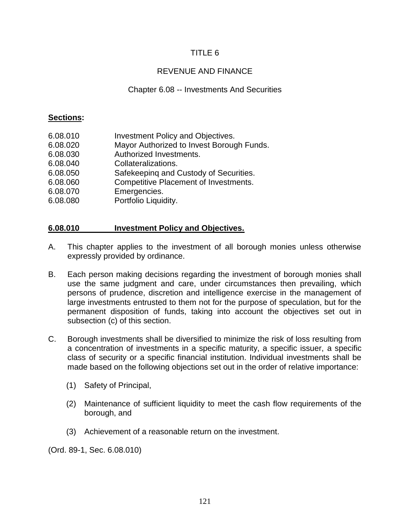# TITLE 6

# REVENUE AND FINANCE

## Chapter 6.08 -- Investments And Securities

#### **Sections:**

| 6.08.010 | Investment Policy and Objectives.            |
|----------|----------------------------------------------|
| 6.08.020 | Mayor Authorized to Invest Borough Funds.    |
| 6.08.030 | Authorized Investments.                      |
| 6.08.040 | Collateralizations.                          |
| 6.08.050 | Safekeeping and Custody of Securities.       |
| 6.08.060 | <b>Competitive Placement of Investments.</b> |
| 6.08.070 | Emergencies.                                 |
| 6.08.080 | Portfolio Liquidity.                         |
|          |                                              |

## **6.08.010 Investment Policy and Objectives.**

- A. This chapter applies to the investment of all borough monies unless otherwise expressly provided by ordinance.
- B. Each person making decisions regarding the investment of borough monies shall use the same judgment and care, under circumstances then prevailing, which persons of prudence, discretion and intelligence exercise in the management of large investments entrusted to them not for the purpose of speculation, but for the permanent disposition of funds, taking into account the objectives set out in subsection (c) of this section.
- C. Borough investments shall be diversified to minimize the risk of loss resulting from a concentration of investments in a specific maturity, a specific issuer, a specific class of security or a specific financial institution. Individual investments shall be made based on the following objections set out in the order of relative importance:
	- (1) Safety of Principal,
	- (2) Maintenance of sufficient liquidity to meet the cash flow requirements of the borough, and
	- (3) Achievement of a reasonable return on the investment.

(Ord. 89-1, Sec. 6.08.010)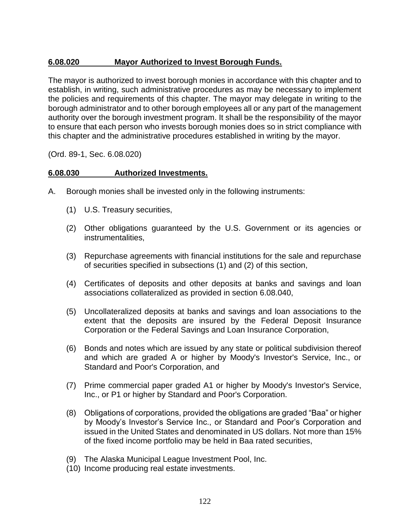# **6.08.020 Mayor Authorized to Invest Borough Funds.**

The mayor is authorized to invest borough monies in accordance with this chapter and to establish, in writing, such administrative procedures as may be necessary to implement the policies and requirements of this chapter. The mayor may delegate in writing to the borough administrator and to other borough employees all or any part of the management authority over the borough investment program. It shall be the responsibility of the mayor to ensure that each person who invests borough monies does so in strict compliance with this chapter and the administrative procedures established in writing by the mayor.

(Ord. 89-1, Sec. 6.08.020)

# **6.08.030 Authorized Investments.**

- A. Borough monies shall be invested only in the following instruments:
	- (1) U.S. Treasury securities,
	- (2) Other obligations guaranteed by the U.S. Government or its agencies or instrumentalities,
	- (3) Repurchase agreements with financial institutions for the sale and repurchase of securities specified in subsections (1) and (2) of this section,
	- (4) Certificates of deposits and other deposits at banks and savings and loan associations collateralized as provided in section 6.08.040,
	- (5) Uncollateralized deposits at banks and savings and loan associations to the extent that the deposits are insured by the Federal Deposit Insurance Corporation or the Federal Savings and Loan Insurance Corporation,
	- (6) Bonds and notes which are issued by any state or political subdivision thereof and which are graded A or higher by Moody's Investor's Service, Inc., or Standard and Poor's Corporation, and
	- (7) Prime commercial paper graded A1 or higher by Moody's Investor's Service, Inc., or P1 or higher by Standard and Poor's Corporation.
	- (8) Obligations of corporations, provided the obligations are graded "Baa" or higher by Moody's Investor's Service Inc., or Standard and Poor's Corporation and issued in the United States and denominated in US dollars. Not more than 15% of the fixed income portfolio may be held in Baa rated securities,
	- (9) The Alaska Municipal League Investment Pool, Inc.
	- (10) Income producing real estate investments.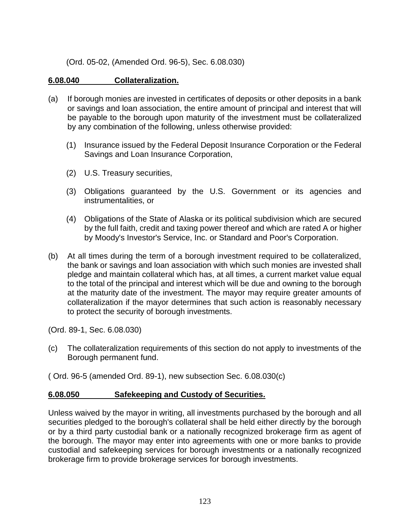(Ord. 05-02, (Amended Ord. 96-5), Sec. 6.08.030)

## **6.08.040 Collateralization.**

- (a) If borough monies are invested in certificates of deposits or other deposits in a bank or savings and loan association, the entire amount of principal and interest that will be payable to the borough upon maturity of the investment must be collateralized by any combination of the following, unless otherwise provided:
	- (1) Insurance issued by the Federal Deposit Insurance Corporation or the Federal Savings and Loan Insurance Corporation,
	- (2) U.S. Treasury securities,
	- (3) Obligations guaranteed by the U.S. Government or its agencies and instrumentalities, or
	- (4) Obligations of the State of Alaska or its political subdivision which are secured by the full faith, credit and taxing power thereof and which are rated A or higher by Moody's Investor's Service, Inc. or Standard and Poor's Corporation.
- (b) At all times during the term of a borough investment required to be collateralized, the bank or savings and loan association with which such monies are invested shall pledge and maintain collateral which has, at all times, a current market value equal to the total of the principal and interest which will be due and owning to the borough at the maturity date of the investment. The mayor may require greater amounts of collateralization if the mayor determines that such action is reasonably necessary to protect the security of borough investments.

(Ord. 89-1, Sec. 6.08.030)

(c) The collateralization requirements of this section do not apply to investments of the Borough permanent fund.

( Ord. 96-5 (amended Ord. 89-1), new subsection Sec. 6.08.030(c)

#### **6.08.050 Safekeeping and Custody of Securities.**

Unless waived by the mayor in writing, all investments purchased by the borough and all securities pledged to the borough's collateral shall be held either directly by the borough or by a third party custodial bank or a nationally recognized brokerage firm as agent of the borough. The mayor may enter into agreements with one or more banks to provide custodial and safekeeping services for borough investments or a nationally recognized brokerage firm to provide brokerage services for borough investments.